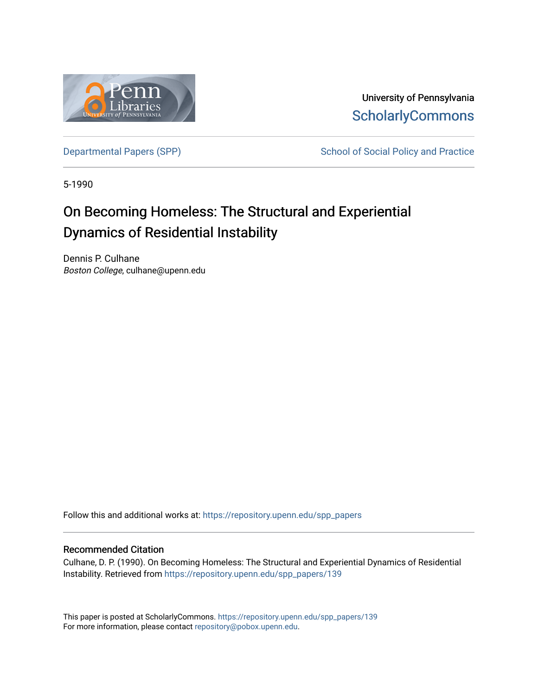

University of Pennsylvania **ScholarlyCommons** 

[Departmental Papers \(SPP\)](https://repository.upenn.edu/spp_papers) School of Social Policy and Practice

5-1990

# On Becoming Homeless: The Structural and Experiential Dynamics of Residential Instability

Dennis P. Culhane Boston College, culhane@upenn.edu

Follow this and additional works at: [https://repository.upenn.edu/spp\\_papers](https://repository.upenn.edu/spp_papers?utm_source=repository.upenn.edu%2Fspp_papers%2F139&utm_medium=PDF&utm_campaign=PDFCoverPages) 

#### Recommended Citation

Culhane, D. P. (1990). On Becoming Homeless: The Structural and Experiential Dynamics of Residential Instability. Retrieved from [https://repository.upenn.edu/spp\\_papers/139](https://repository.upenn.edu/spp_papers/139?utm_source=repository.upenn.edu%2Fspp_papers%2F139&utm_medium=PDF&utm_campaign=PDFCoverPages)

This paper is posted at ScholarlyCommons. [https://repository.upenn.edu/spp\\_papers/139](https://repository.upenn.edu/spp_papers/139)  For more information, please contact [repository@pobox.upenn.edu.](mailto:repository@pobox.upenn.edu)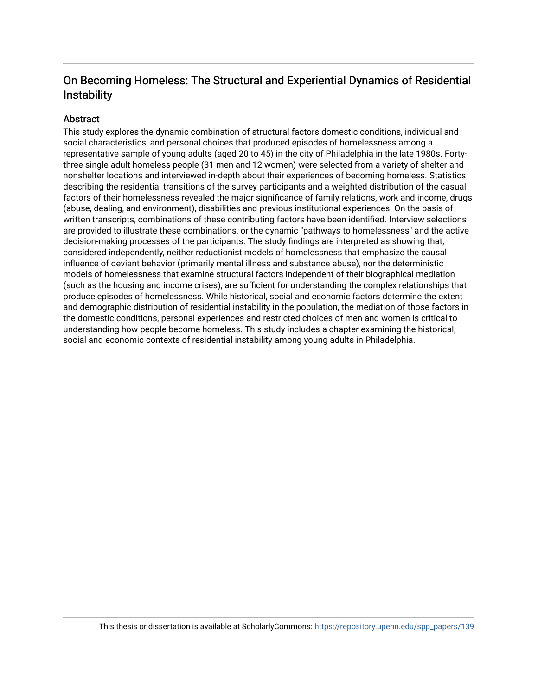## On Becoming Homeless: The Structural and Experiential Dynamics of Residential **Instability**

### Abstract

This study explores the dynamic combination of structural factors domestic conditions, individual and social characteristics, and personal choices that produced episodes of homelessness among a representative sample of young adults (aged 20 to 45) in the city of Philadelphia in the late 1980s. Fortythree single adult homeless people (31 men and 12 women) were selected from a variety of shelter and nonshelter locations and interviewed in-depth about their experiences of becoming homeless. Statistics describing the residential transitions of the survey participants and a weighted distribution of the casual factors of their homelessness revealed the major significance of family relations, work and income, drugs (abuse, dealing, and environment), disabilities and previous institutional experiences. On the basis of written transcripts, combinations of these contributing factors have been identified. Interview selections are provided to illustrate these combinations, or the dynamic "pathways to homelessness" and the active decision-making processes of the participants. The study findings are interpreted as showing that, considered independently, neither reductionist models of homelessness that emphasize the causal influence of deviant behavior (primarily mental illness and substance abuse), nor the deterministic models of homelessness that examine structural factors independent of their biographical mediation (such as the housing and income crises), are sufficient for understanding the complex relationships that produce episodes of homelessness. While historical, social and economic factors determine the extent and demographic distribution of residential instability in the population, the mediation of those factors in the domestic conditions, personal experiences and restricted choices of men and women is critical to understanding how people become homeless. This study includes a chapter examining the historical, social and economic contexts of residential instability among young adults in Philadelphia.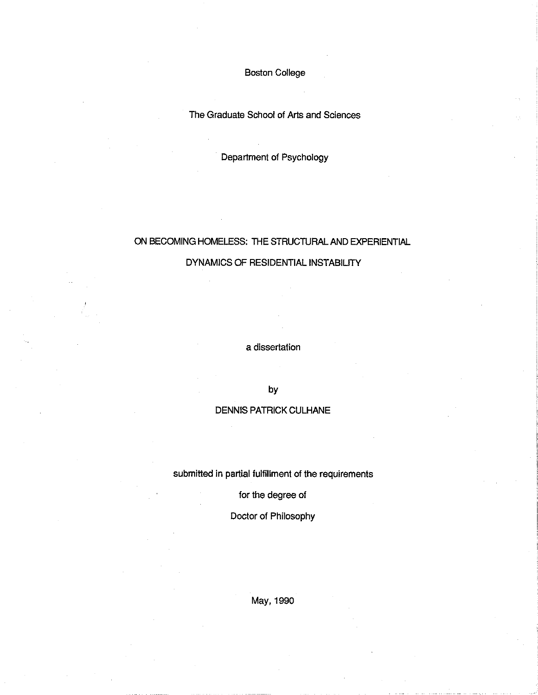**Boston College** 

The Graduate School of Arts and Sciences

Department of Psychology

### ON BECOMING HOMELESS: THE STRUCTURAL AND EXPERIENTIAL

#### DYNAMICS OF RESIDENTIAL INSTABILITY

a dissertation

by

#### **DENNIS PATRICK CULHANE**

submitted in partial fulfillment of the requirements

for the degree of

Doctor of Philosophy

May, 1990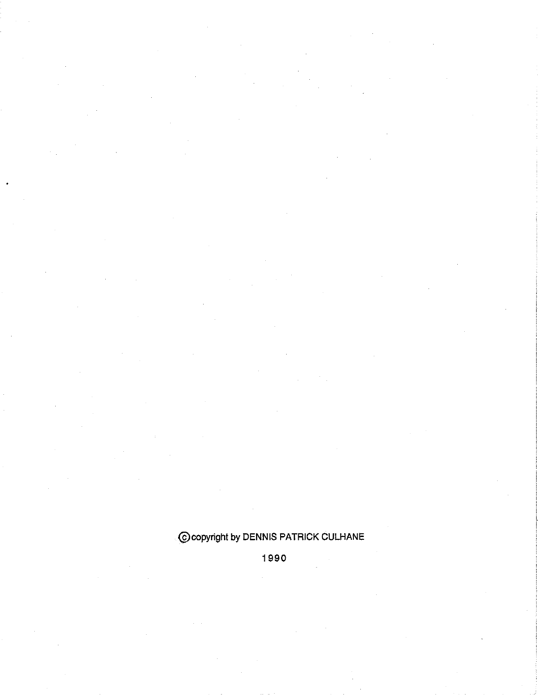# Coopyright by DENNIS PATRICK CULHANE

1990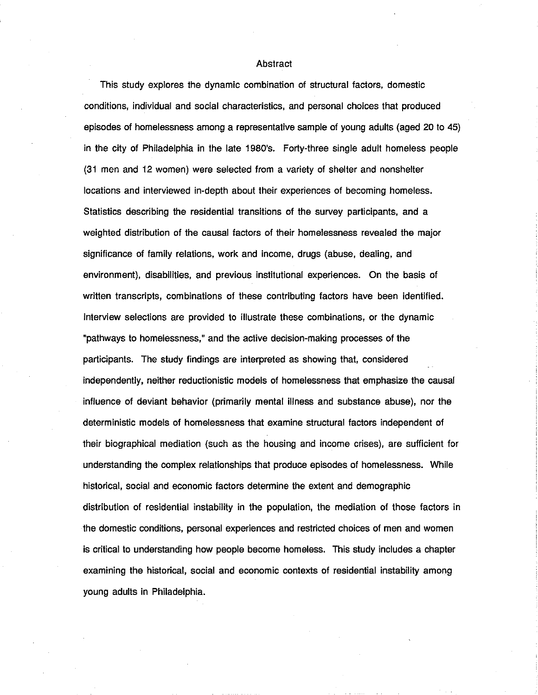#### Abstract

This study explores the dynamic combination of structural factors, domestic conditions, individual and social characteristics, and personal choices that produced episodes of homelessness among a representative sample of young adults (aged 20 to 45) in the city of Philadelphia in the late 1980's. Forty-three single adult homeless people (31 men and 12 women) were selected from a variety of shelter and nonshelter locations and interviewed in-depth about their experiences of becoming homeless. Statistics describing the residential transitions of the survey participants, and a weighted distribution of the causal factors of their homelessness revealed the major significance of family relations, work and income, drugs (abuse, dealing, and environment), disabilities, and previous institutional experiences. On the basis of written transcripts, combinations of these contributing factors have been identified. Interview selections are provided to illustrate these combinations, or the dynamic "pathways to homelessness," and the active decision-making processes of the participants. The study findings are interpreted as showing that, considered independently, neither reductionistic models of homelessness that emphasize the causal influence of deviant behavior (primarily mental illness and substance abuse), nor the deterministic models of homelessness that examine structural factors independent of their biographical mediation (such as the housing and income crises), are sufficient for understanding the complex relationships that produce episodes of homelessness. While historical, social and economic factors determine the extent and demographic distribution of residential instability in the population, the mediation of those factors in the domestic conditions, personal experiences and restricted choices of men and women is critical to understanding how people become homeless. This study includes a chapter examining the historical, social and economic contexts of residential instability among young adults in Philadelphia.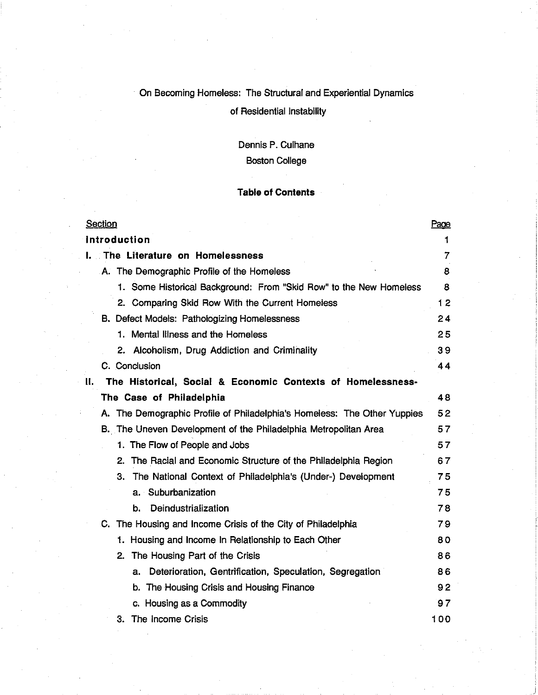### On Becoming Homeless: The Structural and Experiential Dynamics

### of Residential Instability

# Dennis P. Culhane

### **Boston College**

#### **Table of Contents**

| <b>Section</b>                                                           | Page |
|--------------------------------------------------------------------------|------|
| Introduction                                                             | 1    |
| I. The Literature on Homelessness                                        | 7    |
| A. The Demographic Profile of the Homeless                               | 8    |
| 1. Some Historical Background: From "Skid Row" to the New Homeless       | 8    |
| 2. Comparing Skid Row With the Current Homeless                          | 12   |
| B. Defect Models: Pathologizing Homelessness                             | 24   |
| 1. Mental Illness and the Homeless                                       | 25   |
| 2. Alcoholism, Drug Addiction and Criminality                            | 39   |
| C. Conclusion                                                            | 44   |
| The Historical, Social & Economic Contexts of Homelessness-<br>н.        |      |
| The Case of Philadelphia                                                 | 48   |
| A. The Demographic Profile of Philadelphia's Homeless: The Other Yuppies | 52   |
| B. The Uneven Development of the Philadelphia Metropolitan Area          | 57   |
| 1. The Flow of People and Jobs                                           | 57   |
| 2. The Racial and Economic Structure of the Philadelphia Region          | 67   |
| 3. The National Context of Philadelphia's (Under-) Development           | 75   |
| a. Suburbanization                                                       | 75   |
| Deindustrialization<br>b.                                                | 78   |
| C. The Housing and Income Crisis of the City of Philadelphia             | 79   |
| 1. Housing and Income In Relationship to Each Other                      | 80   |
| The Housing Part of the Crisis<br>2.                                     | 86   |
| Deterioration, Gentrification, Speculation, Segregation<br>a.            | 86   |
| b. The Housing Crisis and Housing Finance                                | 92   |
| c. Housing as a Commodity                                                | 97   |
| 3. The income Crisis                                                     | 100  |